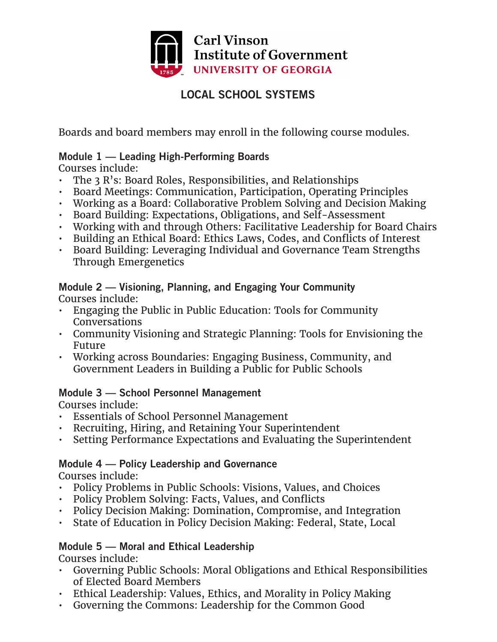

## LOCAL SCHOOL SYSTEMS

Boards and board members may enroll in the following course modules.

## Module 1 — Leading High-Performing Boards

Courses include:

- The 3 R's: Board Roles, Responsibilities, and Relationships
- Board Meetings: Communication, Participation, Operating Principles
- Working as a Board: Collaborative Problem Solving and Decision Making
- Board Building: Expectations, Obligations, and Self-Assessment
- Working with and through Others: Facilitative Leadership for Board Chairs
- Building an Ethical Board: Ethics Laws, Codes, and Conflicts of Interest
- Board Building: Leveraging Individual and Governance Team Strengths Through Emergenetics

# Module 2 — Visioning, Planning, and Engaging Your Community

Courses include:

- Engaging the Public in Public Education: Tools for Community Conversations
- Community Visioning and Strategic Planning: Tools for Envisioning the Future
- Working across Boundaries: Engaging Business, Community, and Government Leaders in Building a Public for Public Schools

#### Module 3 — School Personnel Management

Courses include:

- Essentials of School Personnel Management
- Recruiting, Hiring, and Retaining Your Superintendent
- Setting Performance Expectations and Evaluating the Superintendent

## Module 4 — Policy Leadership and Governance

Courses include:

- Policy Problems in Public Schools: Visions, Values, and Choices
- Policy Problem Solving: Facts, Values, and Conflicts
- Policy Decision Making: Domination, Compromise, and Integration
- State of Education in Policy Decision Making: Federal, State, Local

#### Module 5 — Moral and Ethical Leadership

Courses include:

- Governing Public Schools: Moral Obligations and Ethical Responsibilities of Elected Board Members
- Ethical Leadership: Values, Ethics, and Morality in Policy Making
- Governing the Commons: Leadership for the Common Good